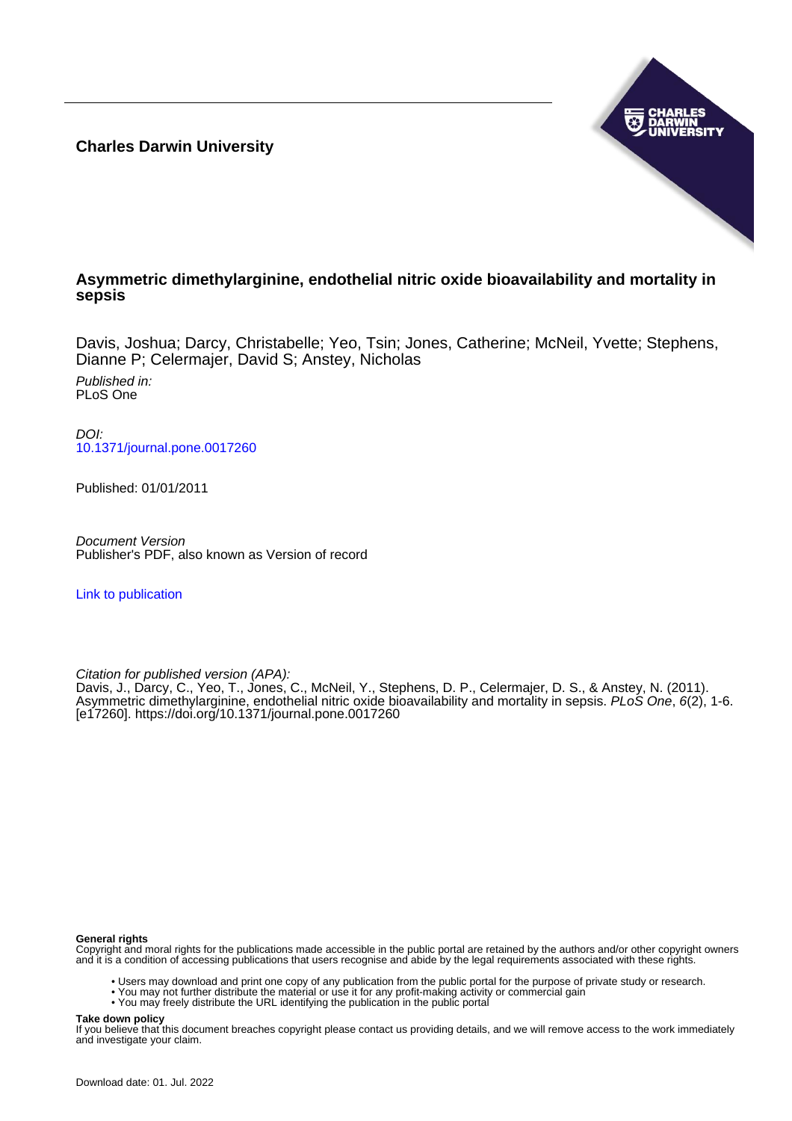**Charles Darwin University**



# **Asymmetric dimethylarginine, endothelial nitric oxide bioavailability and mortality in sepsis**

Davis, Joshua; Darcy, Christabelle; Yeo, Tsin; Jones, Catherine; McNeil, Yvette; Stephens, Dianne P; Celermajer, David S; Anstey, Nicholas

Published in: PLoS One

DOI: [10.1371/journal.pone.0017260](https://doi.org/10.1371/journal.pone.0017260)

Published: 01/01/2011

Document Version Publisher's PDF, also known as Version of record

[Link to publication](https://researchers.cdu.edu.au/en/publications/32aa9d16-f993-4467-be9d-7b36215ff4e2)

Citation for published version (APA):

Davis, J., Darcy, C., Yeo, T., Jones, C., McNeil, Y., Stephens, D. P., Celermajer, D. S., & Anstey, N. (2011). Asymmetric dimethylarginine, endothelial nitric oxide bioavailability and mortality in sepsis. PLoS One, 6(2), 1-6. [e17260].<https://doi.org/10.1371/journal.pone.0017260>

#### **General rights**

Copyright and moral rights for the publications made accessible in the public portal are retained by the authors and/or other copyright owners and it is a condition of accessing publications that users recognise and abide by the legal requirements associated with these rights.

- Users may download and print one copy of any publication from the public portal for the purpose of private study or research.
- You may not further distribute the material or use it for any profit-making activity or commercial gain
- You may freely distribute the URL identifying the publication in the public portal

# **Take down policy**

If you believe that this document breaches copyright please contact us providing details, and we will remove access to the work immediately and investigate your claim.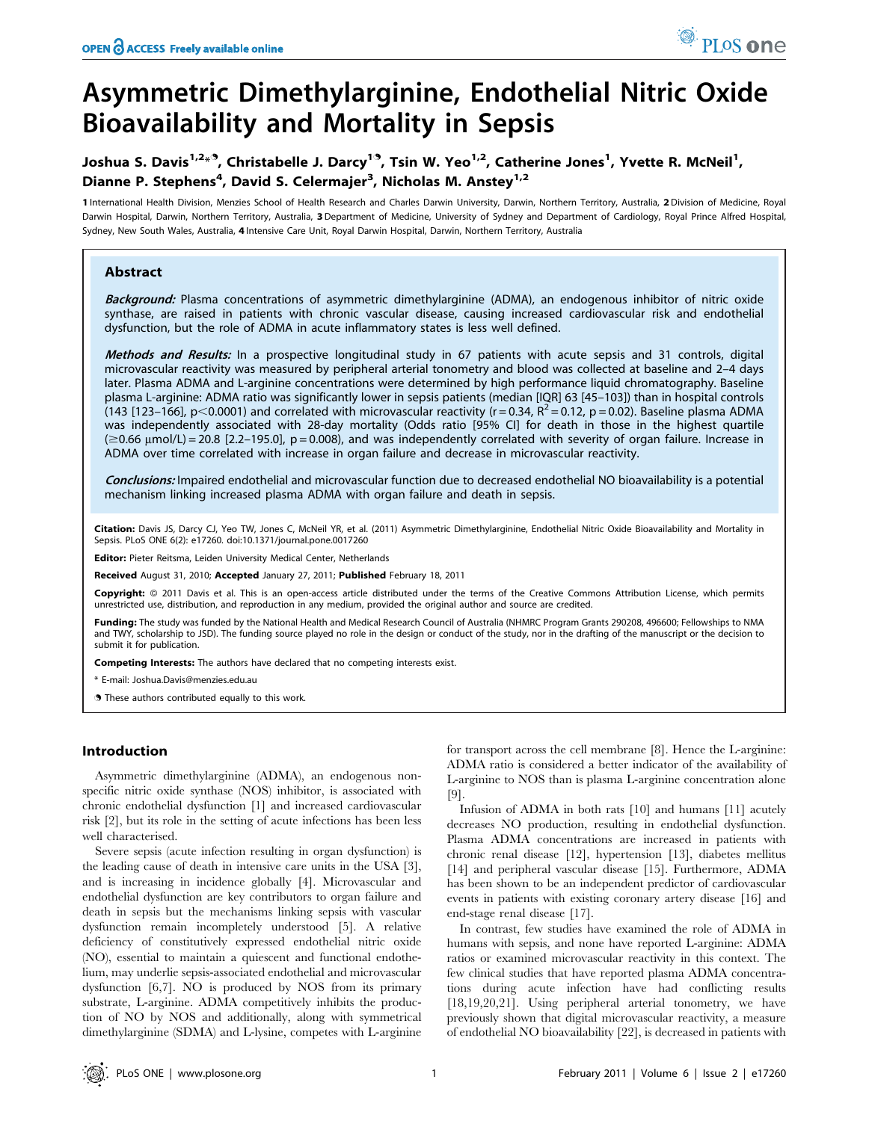# Asymmetric Dimethylarginine, Endothelial Nitric Oxide Bioavailability and Mortality in Sepsis

# Joshua S. Davis<sup>1,2<sub>\*</sub>.9</sup>, Christabelle J. Darcy<sup>1.9</sup>, Tsin W. Yeo<sup>1,2</sup>, Catherine Jones<sup>1</sup>, Yvette R. McNeil<sup>1</sup>, Dianne P. Stephens<sup>4</sup>, David S. Celermajer<sup>3</sup>, Nicholas M. Anstey<sup>1,2</sup>

1 International Health Division, Menzies School of Health Research and Charles Darwin University, Darwin, Northern Territory, Australia, 2 Division of Medicine, Royal Darwin Hospital, Darwin, Northern Territory, Australia, 3 Department of Medicine, University of Sydney and Department of Cardiology, Royal Prince Alfred Hospital, Sydney, New South Wales, Australia, 4 Intensive Care Unit, Royal Darwin Hospital, Darwin, Northern Territory, Australia

## Abstract

Background: Plasma concentrations of asymmetric dimethylarginine (ADMA), an endogenous inhibitor of nitric oxide synthase, are raised in patients with chronic vascular disease, causing increased cardiovascular risk and endothelial dysfunction, but the role of ADMA in acute inflammatory states is less well defined.

Methods and Results: In a prospective longitudinal study in 67 patients with acute sepsis and 31 controls, digital microvascular reactivity was measured by peripheral arterial tonometry and blood was collected at baseline and 2–4 days later. Plasma ADMA and L-arginine concentrations were determined by high performance liquid chromatography. Baseline plasma L-arginine: ADMA ratio was significantly lower in sepsis patients (median [IQR] 63 [45–103]) than in hospital controls (143 [123–166], p<0.0001) and correlated with microvascular reactivity (r = 0.34,  $R^2$  = 0.12, p = 0.02). Baseline plasma ADMA was independently associated with 28-day mortality (Odds ratio [95% CI] for death in those in the highest quartile  $(\geq 0.66 \text{ µmol/L}) = 20.8$  [2.2-195.0], p = 0.008), and was independently correlated with severity of organ failure. Increase in ADMA over time correlated with increase in organ failure and decrease in microvascular reactivity.

Conclusions: Impaired endothelial and microvascular function due to decreased endothelial NO bioavailability is a potential mechanism linking increased plasma ADMA with organ failure and death in sepsis.

Citation: Davis JS, Darcy CJ, Yeo TW, Jones C, McNeil YR, et al. (2011) Asymmetric Dimethylarginine, Endothelial Nitric Oxide Bioavailability and Mortality in Sepsis. PLoS ONE 6(2): e17260. doi:10.1371/journal.pone.0017260

Editor: Pieter Reitsma, Leiden University Medical Center, Netherlands

Received August 31, 2010; Accepted January 27, 2011; Published February 18, 2011

Copyright: © 2011 Davis et al. This is an open-access article distributed under the terms of the Creative Commons Attribution License, which permits unrestricted use, distribution, and reproduction in any medium, provided the original author and source are credited.

Funding: The study was funded by the National Health and Medical Research Council of Australia (NHMRC Program Grants 290208, 496600; Fellowships to NMA and TWY, scholarship to JSD). The funding source played no role in the design or conduct of the study, nor in the drafting of the manuscript or the decision to submit it for publication.

Competing Interests: The authors have declared that no competing interests exist.

\* E-mail: Joshua.Davis@menzies.edu.au

. These authors contributed equally to this work.

## Introduction

Asymmetric dimethylarginine (ADMA), an endogenous nonspecific nitric oxide synthase (NOS) inhibitor, is associated with chronic endothelial dysfunction [1] and increased cardiovascular risk [2], but its role in the setting of acute infections has been less well characterised.

Severe sepsis (acute infection resulting in organ dysfunction) is the leading cause of death in intensive care units in the USA [3], and is increasing in incidence globally [4]. Microvascular and endothelial dysfunction are key contributors to organ failure and death in sepsis but the mechanisms linking sepsis with vascular dysfunction remain incompletely understood [5]. A relative deficiency of constitutively expressed endothelial nitric oxide (NO), essential to maintain a quiescent and functional endothelium, may underlie sepsis-associated endothelial and microvascular dysfunction [6,7]. NO is produced by NOS from its primary substrate, L-arginine. ADMA competitively inhibits the production of NO by NOS and additionally, along with symmetrical dimethylarginine (SDMA) and L-lysine, competes with L-arginine for transport across the cell membrane [8]. Hence the L-arginine: ADMA ratio is considered a better indicator of the availability of L-arginine to NOS than is plasma L-arginine concentration alone [9].

Infusion of ADMA in both rats [10] and humans [11] acutely decreases NO production, resulting in endothelial dysfunction. Plasma ADMA concentrations are increased in patients with chronic renal disease [12], hypertension [13], diabetes mellitus [14] and peripheral vascular disease [15]. Furthermore, ADMA has been shown to be an independent predictor of cardiovascular events in patients with existing coronary artery disease [16] and end-stage renal disease [17].

In contrast, few studies have examined the role of ADMA in humans with sepsis, and none have reported L-arginine: ADMA ratios or examined microvascular reactivity in this context. The few clinical studies that have reported plasma ADMA concentrations during acute infection have had conflicting results [18,19,20,21]. Using peripheral arterial tonometry, we have previously shown that digital microvascular reactivity, a measure of endothelial NO bioavailability [22], is decreased in patients with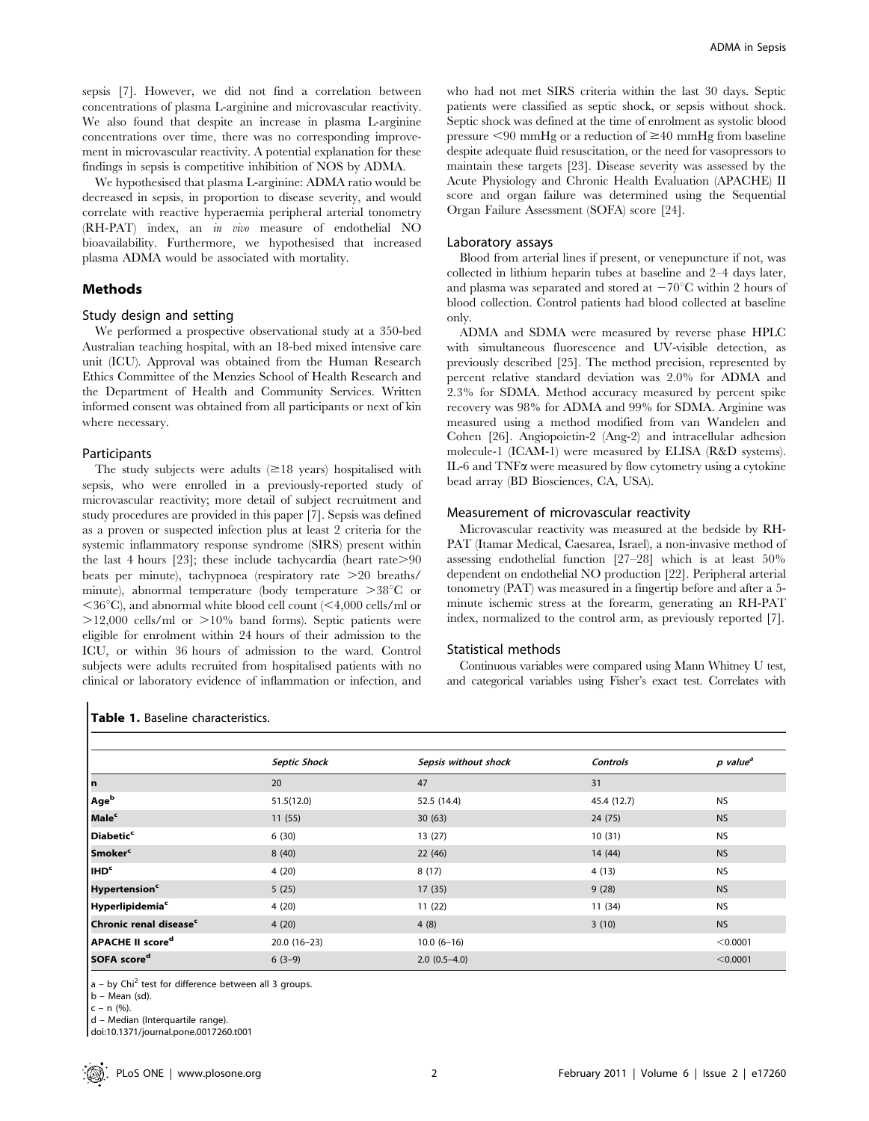sepsis [7]. However, we did not find a correlation between concentrations of plasma L-arginine and microvascular reactivity. We also found that despite an increase in plasma L-arginine concentrations over time, there was no corresponding improvement in microvascular reactivity. A potential explanation for these findings in sepsis is competitive inhibition of NOS by ADMA.

We hypothesised that plasma L-arginine: ADMA ratio would be decreased in sepsis, in proportion to disease severity, and would correlate with reactive hyperaemia peripheral arterial tonometry (RH-PAT) index, an in vivo measure of endothelial NO bioavailability. Furthermore, we hypothesised that increased plasma ADMA would be associated with mortality.

#### Methods

#### Study design and setting

We performed a prospective observational study at a 350-bed Australian teaching hospital, with an 18-bed mixed intensive care unit (ICU). Approval was obtained from the Human Research Ethics Committee of the Menzies School of Health Research and the Department of Health and Community Services. Written informed consent was obtained from all participants or next of kin where necessary.

#### Participants

The study subjects were adults  $(\geq 18$  years) hospitalised with sepsis, who were enrolled in a previously-reported study of microvascular reactivity; more detail of subject recruitment and study procedures are provided in this paper [7]. Sepsis was defined as a proven or suspected infection plus at least 2 criteria for the systemic inflammatory response syndrome (SIRS) present within the last 4 hours [23]; these include tachycardia (heart rate $>90$ beats per minute), tachypnoea (respiratory rate  $>20$  breaths/ minute), abnormal temperature (body temperature  $>38^{\circ}$ C or  $\langle 36^{\circ}$ C), and abnormal white blood cell count ( $\langle 4,000 \text{ cells/ml or}$ )  $>12,000$  cells/ml or  $>10\%$  band forms). Septic patients were eligible for enrolment within 24 hours of their admission to the ICU, or within 36 hours of admission to the ward. Control subjects were adults recruited from hospitalised patients with no clinical or laboratory evidence of inflammation or infection, and

who had not met SIRS criteria within the last 30 days. Septic patients were classified as septic shock, or sepsis without shock. Septic shock was defined at the time of enrolment as systolic blood pressure  $\leq 90$  mmHg or a reduction of  $\geq 40$  mmHg from baseline despite adequate fluid resuscitation, or the need for vasopressors to maintain these targets [23]. Disease severity was assessed by the Acute Physiology and Chronic Health Evaluation (APACHE) II score and organ failure was determined using the Sequential Organ Failure Assessment (SOFA) score [24].

#### Laboratory assays

Blood from arterial lines if present, or venepuncture if not, was collected in lithium heparin tubes at baseline and 2–4 days later, and plasma was separated and stored at  $-70^{\circ}$ C within 2 hours of blood collection. Control patients had blood collected at baseline only.

ADMA and SDMA were measured by reverse phase HPLC with simultaneous fluorescence and UV-visible detection, as previously described [25]. The method precision, represented by percent relative standard deviation was 2.0% for ADMA and 2.3% for SDMA. Method accuracy measured by percent spike recovery was 98% for ADMA and 99% for SDMA. Arginine was measured using a method modified from van Wandelen and Cohen [26]. Angiopoietin-2 (Ang-2) and intracellular adhesion molecule-1 (ICAM-1) were measured by ELISA (R&D systems). IL-6 and  $TNF\alpha$  were measured by flow cytometry using a cytokine bead array (BD Biosciences, CA, USA).

#### Measurement of microvascular reactivity

Microvascular reactivity was measured at the bedside by RH-PAT (Itamar Medical, Caesarea, Israel), a non-invasive method of assessing endothelial function [27–28] which is at least 50% dependent on endothelial NO production [22]. Peripheral arterial tonometry (PAT) was measured in a fingertip before and after a 5 minute ischemic stress at the forearm, generating an RH-PAT index, normalized to the control arm, as previously reported [7].

#### Statistical methods

Continuous variables were compared using Mann Whitney U test, and categorical variables using Fisher's exact test. Correlates with

|                                    | <b>Septic Shock</b> | Sepsis without shock | Controls    | p value <sup>a</sup> |
|------------------------------------|---------------------|----------------------|-------------|----------------------|
| l n                                | 20                  | 47                   | 31          |                      |
| Age <sup>b</sup>                   | 51.5(12.0)          | 52.5 (14.4)          | 45.4 (12.7) | <b>NS</b>            |
| Male <sup>c</sup>                  | 11(55)              | 30(63)               | 24 (75)     | <b>NS</b>            |
| Diabetic <sup>c</sup>              | 6(30)               | 13(27)               | 10(31)      | <b>NS</b>            |
| Smoker <sup>c</sup>                | 8(40)               | 22(46)               | 14 (44)     | <b>NS</b>            |
| IHD <sup>c</sup>                   | 4(20)               | 8(17)                | 4(13)       | <b>NS</b>            |
| <b>Hypertension<sup>c</sup></b>    | 5(25)               | 17(35)               | 9(28)       | <b>NS</b>            |
| Hyperlipidemia <sup>c</sup>        | 4(20)               | 11(22)               | 11 (34)     | <b>NS</b>            |
| Chronic renal disease <sup>c</sup> | 4(20)               | 4(8)                 | 3(10)       | <b>NS</b>            |
| APACHE II score <sup>d</sup>       | $20.0(16-23)$       | $10.0(6-16)$         |             | < 0.0001             |
| SOFA score <sup>d</sup>            | $6(3-9)$            | $2.0(0.5-4.0)$       |             | < 0.0001             |

 $a - by Chi<sup>2</sup> test for difference between all 3 groups.$ 

b – Mean (sd).

 $c - n$  (%).

d – Median (Interquartile range).

doi:10.1371/journal.pone.0017260.t001

Table 1. Baseline characteristics.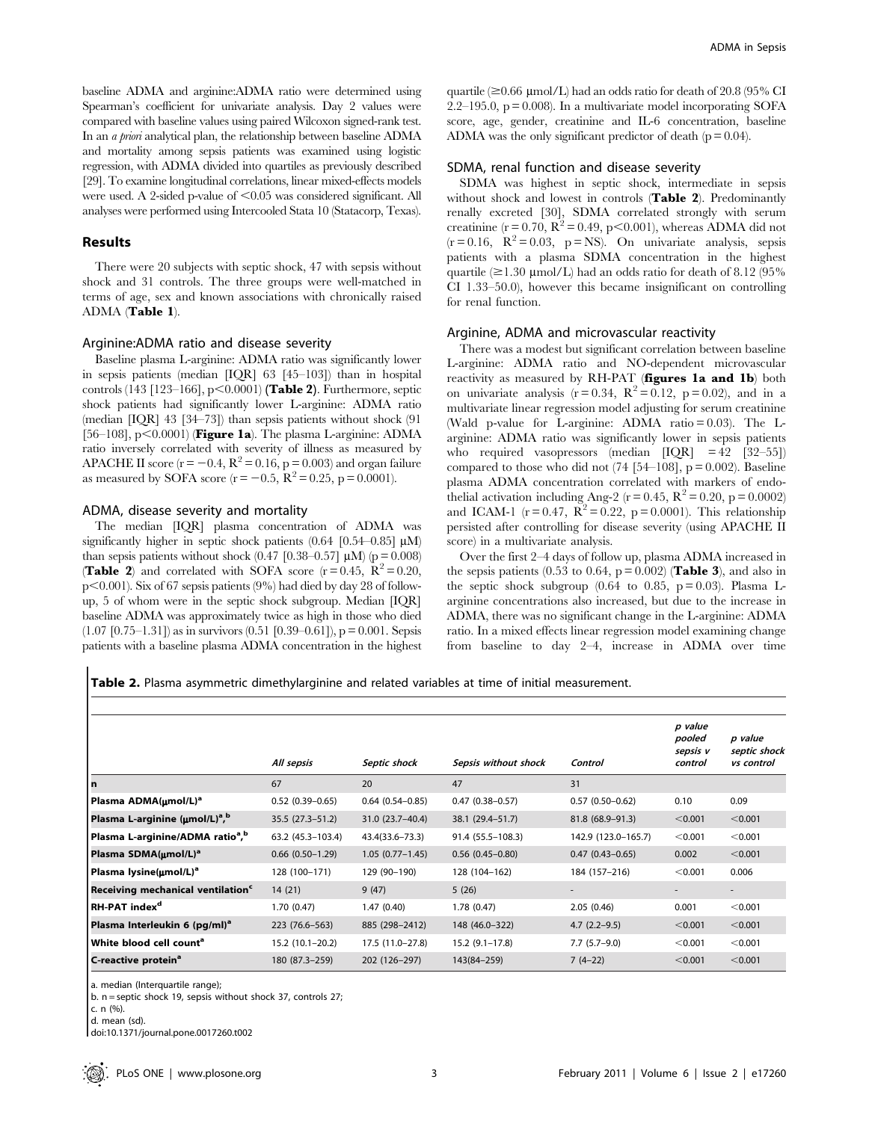baseline ADMA and arginine:ADMA ratio were determined using Spearman's coefficient for univariate analysis. Day 2 values were compared with baseline values using paired Wilcoxon signed-rank test. In an a priori analytical plan, the relationship between baseline ADMA and mortality among sepsis patients was examined using logistic regression, with ADMA divided into quartiles as previously described [29]. To examine longitudinal correlations, linear mixed-effects models were used. A 2-sided p-value of  $\leq 0.05$  was considered significant. All analyses were performed using Intercooled Stata 10 (Statacorp, Texas).

#### Results

There were 20 subjects with septic shock, 47 with sepsis without shock and 31 controls. The three groups were well-matched in terms of age, sex and known associations with chronically raised ADMA (Table 1).

#### Arginine:ADMA ratio and disease severity

Baseline plasma L-arginine: ADMA ratio was significantly lower in sepsis patients (median [IQR] 63 [45–103]) than in hospital controls (143 [123–166],  $p<0.0001$ ) (Table 2). Furthermore, septic shock patients had significantly lower L-arginine: ADMA ratio (median [IQR] 43 [34–73]) than sepsis patients without shock (91 [56–108], p $\leq$ 0.0001) (**Figure 1a**). The plasma L-arginine: ADMA ratio inversely correlated with severity of illness as measured by APACHE II score ( $r = -0.4$ ,  $R^2 = 0.16$ ,  $p = 0.003$ ) and organ failure as measured by SOFA score ( $r = -0.5$ ,  $R^2 = 0.25$ , p = 0.0001).

#### ADMA, disease severity and mortality

The median [IQR] plasma concentration of ADMA was significantly higher in septic shock patients  $(0.64 \, [0.54-0.85] \, \mu M)$ than sepsis patients without shock (0.47 [0.38–0.57]  $\mu$ M) (p = 0.008) (Table 2) and correlated with SOFA score  $(r=0.45, R^2=0.20,$  $p<0.001$ ). Six of 67 sepsis patients (9%) had died by day 28 of followup, 5 of whom were in the septic shock subgroup. Median [IQR] baseline ADMA was approximately twice as high in those who died  $(1.07 \,[0.75-1.31])$  as in survivors  $(0.51 \,[0.39-0.61])$ , p = 0.001. Sepsis patients with a baseline plasma ADMA concentration in the highest quartile ( $\geq 0.66$  µmol/L) had an odds ratio for death of 20.8 (95% CI 2.2–195.0,  $p = 0.008$ ). In a multivariate model incorporating SOFA score, age, gender, creatinine and IL-6 concentration, baseline ADMA was the only significant predictor of death  $(p = 0.04)$ .

#### SDMA, renal function and disease severity

SDMA was highest in septic shock, intermediate in sepsis without shock and lowest in controls (Table 2). Predominantly renally excreted [30], SDMA correlated strongly with serum creatinine (r = 0.70,  $R^2 = 0.49$ , p<0.001), whereas ADMA did not  $(r = 0.16, R^2 = 0.03, p = NS)$ . On univariate analysis, sepsis patients with a plasma SDMA concentration in the highest quartile  $(\geq 1.30 \text{ \mu} \text{mol/L})$  had an odds ratio for death of 8.12 (95%) CI 1.33–50.0), however this became insignificant on controlling for renal function.

#### Arginine, ADMA and microvascular reactivity

There was a modest but significant correlation between baseline L-arginine: ADMA ratio and NO-dependent microvascular reactivity as measured by RH-PAT (figures 1a and 1b) both on univariate analysis ( $r = 0.34$ ,  $R^2 = 0.12$ ,  $p = 0.02$ ), and in a multivariate linear regression model adjusting for serum creatinine (Wald p-value for L-arginine: ADMA ratio = 0.03). The Larginine: ADMA ratio was significantly lower in sepsis patients who required vasopressors (median  $|IQR| = 42$  [32–55]) compared to those who did not  $(74 \text{ } [54–108], p = 0.002)$ . Baseline plasma ADMA concentration correlated with markers of endothelial activation including Ang-2 ( $r = 0.45$ ,  $R^2 = 0.20$ ,  $p = 0.0002$ ) and ICAM-1 ( $r = 0.47$ ,  $R^2 = 0.22$ ,  $p = 0.0001$ ). This relationship persisted after controlling for disease severity (using APACHE II score) in a multivariate analysis.

Over the first 2–4 days of follow up, plasma ADMA increased in the sepsis patients (0.53 to 0.64,  $p = 0.002$ ) (**Table 3**), and also in the septic shock subgroup  $(0.64 \text{ to } 0.85, \text{ p} = 0.03)$ . Plasma Larginine concentrations also increased, but due to the increase in ADMA, there was no significant change in the L-arginine: ADMA ratio. In a mixed effects linear regression model examining change from baseline to day 2–4, increase in ADMA over time

Table 2. Plasma asymmetric dimethylarginine and related variables at time of initial measurement.

|                                               | All sepsis           | Septic shock        | Sepsis without shock | Control             | p value<br>pooled<br>sepsis v<br>control | p value<br>septic shock<br>vs control |
|-----------------------------------------------|----------------------|---------------------|----------------------|---------------------|------------------------------------------|---------------------------------------|
| n                                             | 67                   | 20                  | 47                   | 31                  |                                          |                                       |
| Plasma ADMA(umol/L) <sup>a</sup>              | $0.52(0.39 - 0.65)$  | $0.64(0.54 - 0.85)$ | $0.47(0.38 - 0.57)$  | $0.57(0.50-0.62)$   | 0.10                                     | 0.09                                  |
| Plasma L-arginine (µmol/L) <sup>a,b</sup>     | $35.5(27.3-51.2)$    | 31.0 (23.7-40.4)    | 38.1 (29.4–51.7)     | 81.8 (68.9-91.3)    | < 0.001                                  | < 0.001                               |
| Plasma L-arginine/ADMA ratio <sup>a,b</sup>   | 63.2 (45.3-103.4)    | $43.4(33.6 - 73.3)$ | 91.4 (55.5-108.3)    | 142.9 (123.0-165.7) | < 0.001                                  | < 0.001                               |
| Plasma SDMA(µmol/L) <sup>a</sup>              | $0.66$ $(0.50-1.29)$ | $1.05(0.77 - 1.45)$ | $0.56(0.45-0.80)$    | $0.47(0.43 - 0.65)$ | 0.002                                    | < 0.001                               |
| Plasma lysine(umol/L) <sup>a</sup>            | 128 (100-171)        | 129 (90-190)        | 128 (104-162)        | 184 (157-216)       | < 0.001                                  | 0.006                                 |
| Receiving mechanical ventilation <sup>c</sup> | 14(21)               | 9(47)               | 5(26)                |                     |                                          | $\overline{\phantom{a}}$              |
| RH-PAT index <sup>d</sup>                     | 1.70(0.47)           | 1.47(0.40)          | 1.78(0.47)           | 2.05(0.46)          | 0.001                                    | < 0.001                               |
| Plasma Interleukin 6 (pg/ml) <sup>a</sup>     | 223 (76.6–563)       | 885 (298-2412)      | 148 (46.0-322)       | $4.7(2.2-9.5)$      | < 0.001                                  | < 0.001                               |
| White blood cell count <sup>a</sup>           | $15.2(10.1-20.2)$    | 17.5 (11.0-27.8)    | $15.2(9.1-17.8)$     | $7.7(5.7-9.0)$      | < 0.001                                  | < 0.001                               |
| C-reactive protein <sup>a</sup>               | 180 (87.3-259)       | 202 (126-297)       | 143(84-259)          | $7(4-22)$           | < 0.001                                  | < 0.001                               |

a. median (Interquartile range);

b. n = septic shock 19, sepsis without shock 37, controls 27;

c. n (%).

d. mean (sd).

doi:10.1371/journal.pone.0017260.t002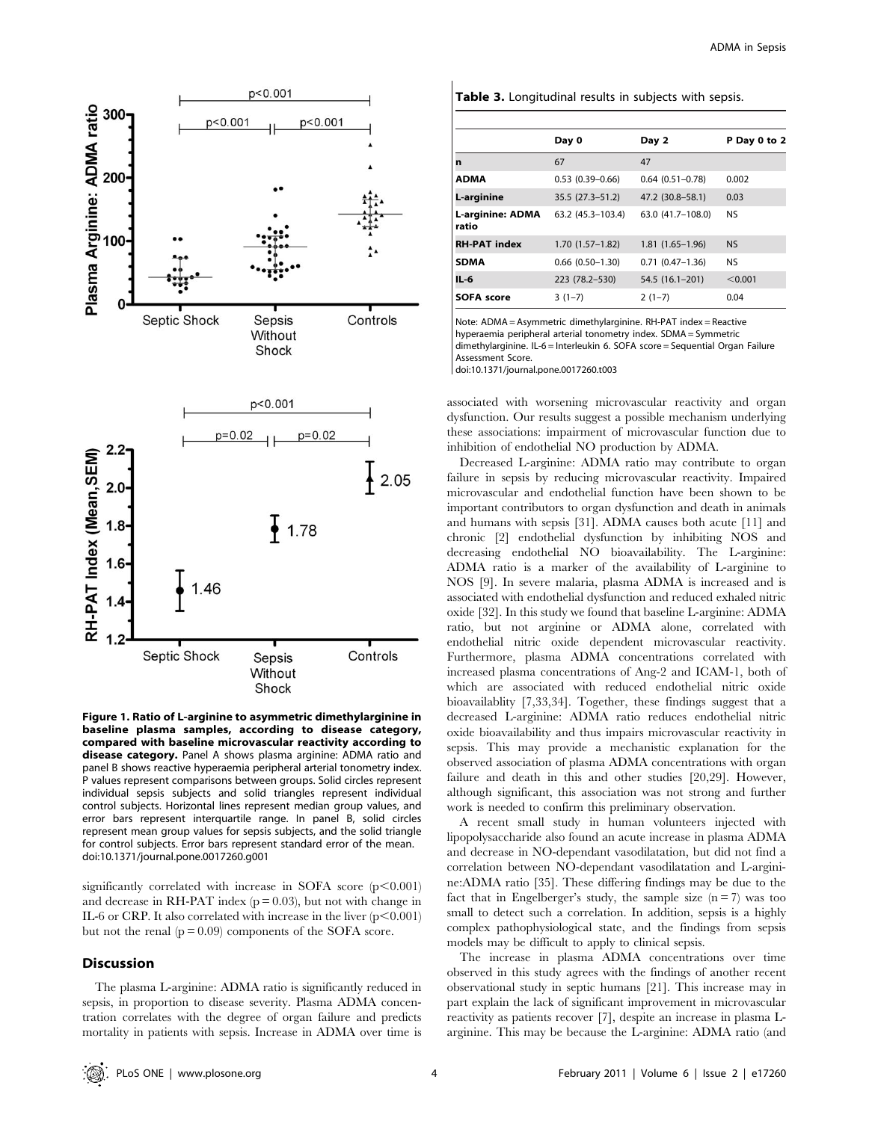

Figure 1. Ratio of L-arginine to asymmetric dimethylarginine in baseline plasma samples, according to disease category, compared with baseline microvascular reactivity according to disease category. Panel A shows plasma arginine: ADMA ratio and panel B shows reactive hyperaemia peripheral arterial tonometry index. P values represent comparisons between groups. Solid circles represent individual sepsis subjects and solid triangles represent individual control subjects. Horizontal lines represent median group values, and error bars represent interquartile range. In panel B, solid circles represent mean group values for sepsis subjects, and the solid triangle for control subjects. Error bars represent standard error of the mean. doi:10.1371/journal.pone.0017260.g001

significantly correlated with increase in SOFA score  $(p<0.001)$ and decrease in RH-PAT index  $(p = 0.03)$ , but not with change in IL-6 or CRP. It also correlated with increase in the liver  $(p<0.001)$ but not the renal  $(p = 0.09)$  components of the SOFA score.

#### **Discussion**

The plasma L-arginine: ADMA ratio is significantly reduced in sepsis, in proportion to disease severity. Plasma ADMA concentration correlates with the degree of organ failure and predicts mortality in patients with sepsis. Increase in ADMA over time is

| Table 3. Longitudinal results in subjects with sepsis. |  |  |  |  |  |
|--------------------------------------------------------|--|--|--|--|--|
|--------------------------------------------------------|--|--|--|--|--|

|                                  | Day 0                | Day 2               | P Day 0 to 2 |
|----------------------------------|----------------------|---------------------|--------------|
| n                                | 67                   | 47                  |              |
| <b>ADMA</b>                      | $0.53(0.39 - 0.66)$  | $0.64(0.51 - 0.78)$ | 0.002        |
| L-arginine                       | 35.5 (27.3–51.2)     | 47.2 (30.8-58.1)    | 0.03         |
| <b>L-arginine: ADMA</b><br>ratio | 63.2 (45.3-103.4)    | 63.0 (41.7-108.0)   | <b>NS</b>    |
| <b>RH-PAT index</b>              | $1.70(1.57-1.82)$    | $1.81(1.65-1.96)$   | <b>NS</b>    |
| <b>SDMA</b>                      | $0.66$ $(0.50-1.30)$ | $0.71(0.47-1.36)$   | <b>NS</b>    |
| $IL-6$                           | 223 (78.2-530)       | 54.5 (16.1-201)     | < 0.001      |
| <b>SOFA score</b>                | $3(1-7)$             | $2(1-7)$            | 0.04         |

Note: ADMA = Asymmetric dimethylarginine. RH-PAT index = Reactive hyperaemia peripheral arterial tonometry index. SDMA = Symmetric dimethylarginine. IL-6 = Interleukin 6. SOFA score = Sequential Organ Failure Assessment Score.

doi:10.1371/journal.pone.0017260.t003

associated with worsening microvascular reactivity and organ dysfunction. Our results suggest a possible mechanism underlying these associations: impairment of microvascular function due to inhibition of endothelial NO production by ADMA.

Decreased L-arginine: ADMA ratio may contribute to organ failure in sepsis by reducing microvascular reactivity. Impaired microvascular and endothelial function have been shown to be important contributors to organ dysfunction and death in animals and humans with sepsis [31]. ADMA causes both acute [11] and chronic [2] endothelial dysfunction by inhibiting NOS and decreasing endothelial NO bioavailability. The L-arginine: ADMA ratio is a marker of the availability of L-arginine to NOS [9]. In severe malaria, plasma ADMA is increased and is associated with endothelial dysfunction and reduced exhaled nitric oxide [32]. In this study we found that baseline L-arginine: ADMA ratio, but not arginine or ADMA alone, correlated with endothelial nitric oxide dependent microvascular reactivity. Furthermore, plasma ADMA concentrations correlated with increased plasma concentrations of Ang-2 and ICAM-1, both of which are associated with reduced endothelial nitric oxide bioavailablity [7,33,34]. Together, these findings suggest that a decreased L-arginine: ADMA ratio reduces endothelial nitric oxide bioavailability and thus impairs microvascular reactivity in sepsis. This may provide a mechanistic explanation for the observed association of plasma ADMA concentrations with organ failure and death in this and other studies [20,29]. However, although significant, this association was not strong and further work is needed to confirm this preliminary observation.

A recent small study in human volunteers injected with lipopolysaccharide also found an acute increase in plasma ADMA and decrease in NO-dependant vasodilatation, but did not find a correlation between NO-dependant vasodilatation and L-arginine:ADMA ratio [35]. These differing findings may be due to the fact that in Engelberger's study, the sample size  $(n = 7)$  was too small to detect such a correlation. In addition, sepsis is a highly complex pathophysiological state, and the findings from sepsis models may be difficult to apply to clinical sepsis.

The increase in plasma ADMA concentrations over time observed in this study agrees with the findings of another recent observational study in septic humans [21]. This increase may in part explain the lack of significant improvement in microvascular reactivity as patients recover [7], despite an increase in plasma Larginine. This may be because the L-arginine: ADMA ratio (and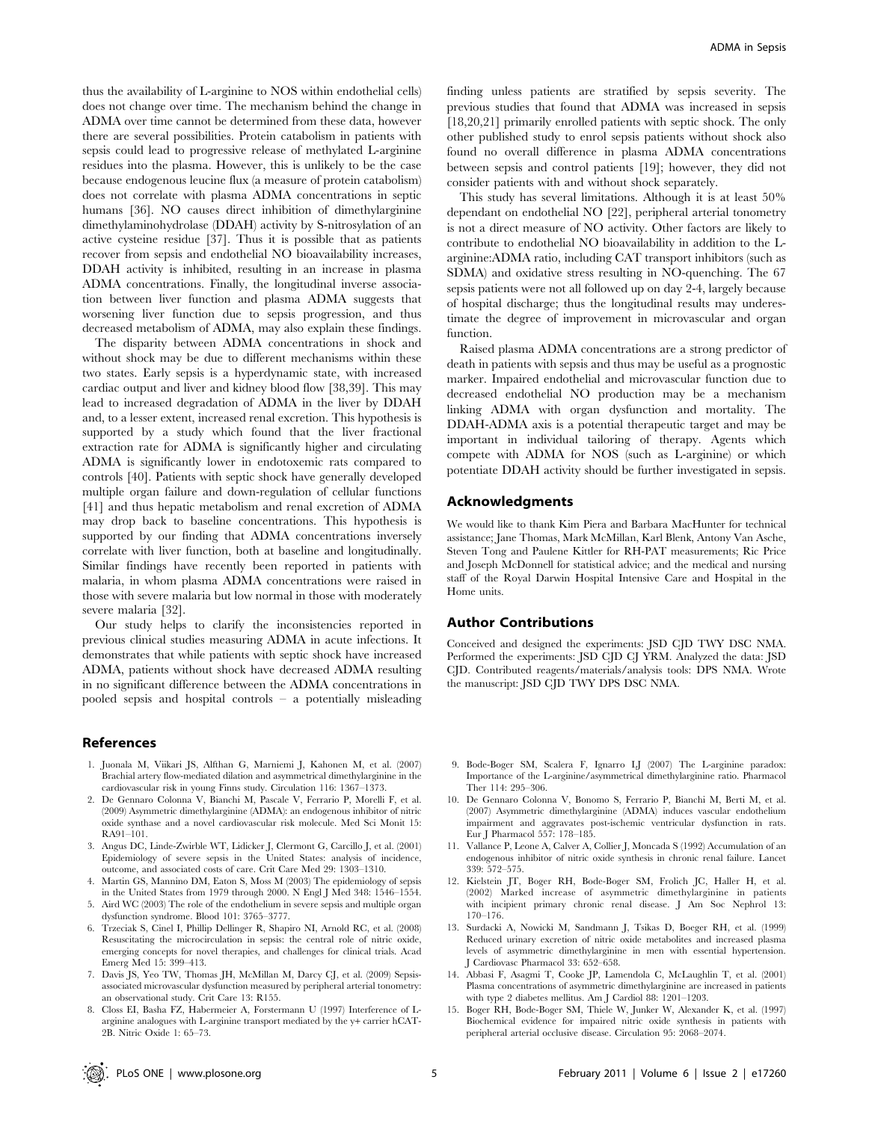thus the availability of L-arginine to NOS within endothelial cells) does not change over time. The mechanism behind the change in ADMA over time cannot be determined from these data, however there are several possibilities. Protein catabolism in patients with sepsis could lead to progressive release of methylated L-arginine residues into the plasma. However, this is unlikely to be the case because endogenous leucine flux (a measure of protein catabolism) does not correlate with plasma ADMA concentrations in septic humans [36]. NO causes direct inhibition of dimethylarginine dimethylaminohydrolase (DDAH) activity by S-nitrosylation of an active cysteine residue [37]. Thus it is possible that as patients recover from sepsis and endothelial NO bioavailability increases, DDAH activity is inhibited, resulting in an increase in plasma ADMA concentrations. Finally, the longitudinal inverse association between liver function and plasma ADMA suggests that worsening liver function due to sepsis progression, and thus decreased metabolism of ADMA, may also explain these findings.

The disparity between ADMA concentrations in shock and without shock may be due to different mechanisms within these two states. Early sepsis is a hyperdynamic state, with increased cardiac output and liver and kidney blood flow [38,39]. This may lead to increased degradation of ADMA in the liver by DDAH and, to a lesser extent, increased renal excretion. This hypothesis is supported by a study which found that the liver fractional extraction rate for ADMA is significantly higher and circulating ADMA is significantly lower in endotoxemic rats compared to controls [40]. Patients with septic shock have generally developed multiple organ failure and down-regulation of cellular functions [41] and thus hepatic metabolism and renal excretion of ADMA may drop back to baseline concentrations. This hypothesis is supported by our finding that ADMA concentrations inversely correlate with liver function, both at baseline and longitudinally. Similar findings have recently been reported in patients with malaria, in whom plasma ADMA concentrations were raised in those with severe malaria but low normal in those with moderately severe malaria [32].

Our study helps to clarify the inconsistencies reported in previous clinical studies measuring ADMA in acute infections. It demonstrates that while patients with septic shock have increased ADMA, patients without shock have decreased ADMA resulting in no significant difference between the ADMA concentrations in pooled sepsis and hospital controls – a potentially misleading

#### References

- 1. Juonala M, Viikari JS, Alfthan G, Marniemi J, Kahonen M, et al. (2007) Brachial artery flow-mediated dilation and asymmetrical dimethylarginine in the cardiovascular risk in young Finns study. Circulation 116: 1367–1373.
- 2. De Gennaro Colonna V, Bianchi M, Pascale V, Ferrario P, Morelli F, et al. (2009) Asymmetric dimethylarginine (ADMA): an endogenous inhibitor of nitric oxide synthase and a novel cardiovascular risk molecule. Med Sci Monit 15: RA91–101.
- 3. Angus DC, Linde-Zwirble WT, Lidicker J, Clermont G, Carcillo J, et al. (2001) Epidemiology of severe sepsis in the United States: analysis of incidence, outcome, and associated costs of care. Crit Care Med 29: 1303–1310.
- Martin GS, Mannino DM, Eaton S, Moss M (2003) The epidemiology of sepsis in the United States from 1979 through 2000. N Engl J Med 348: 1546–1554. 5. Aird WC (2003) The role of the endothelium in severe sepsis and multiple organ
- dysfunction syndrome. Blood 101: 3765–3777.
- 6. Trzeciak S, Cinel I, Phillip Dellinger R, Shapiro NI, Arnold RC, et al. (2008) Resuscitating the microcirculation in sepsis: the central role of nitric oxide, emerging concepts for novel therapies, and challenges for clinical trials. Acad Emerg Med 15: 399–413.
- 7. Davis JS, Yeo TW, Thomas JH, McMillan M, Darcy CJ, et al. (2009) Sepsisassociated microvascular dysfunction measured by peripheral arterial tonometry: an observational study. Crit Care 13: R155.
- 8. Closs EI, Basha FZ, Habermeier A, Forstermann U (1997) Interference of Larginine analogues with L-arginine transport mediated by the y+ carrier hCAT-2B. Nitric Oxide 1: 65–73.

finding unless patients are stratified by sepsis severity. The previous studies that found that ADMA was increased in sepsis [18,20,21] primarily enrolled patients with septic shock. The only other published study to enrol sepsis patients without shock also found no overall difference in plasma ADMA concentrations between sepsis and control patients [19]; however, they did not consider patients with and without shock separately.

This study has several limitations. Although it is at least 50% dependant on endothelial NO [22], peripheral arterial tonometry is not a direct measure of NO activity. Other factors are likely to contribute to endothelial NO bioavailability in addition to the Larginine:ADMA ratio, including CAT transport inhibitors (such as SDMA) and oxidative stress resulting in NO-quenching. The 67 sepsis patients were not all followed up on day 2-4, largely because of hospital discharge; thus the longitudinal results may underestimate the degree of improvement in microvascular and organ function.

Raised plasma ADMA concentrations are a strong predictor of death in patients with sepsis and thus may be useful as a prognostic marker. Impaired endothelial and microvascular function due to decreased endothelial NO production may be a mechanism linking ADMA with organ dysfunction and mortality. The DDAH-ADMA axis is a potential therapeutic target and may be important in individual tailoring of therapy. Agents which compete with ADMA for NOS (such as L-arginine) or which potentiate DDAH activity should be further investigated in sepsis.

### Acknowledgments

We would like to thank Kim Piera and Barbara MacHunter for technical assistance; Jane Thomas, Mark McMillan, Karl Blenk, Antony Van Asche, Steven Tong and Paulene Kittler for RH-PAT measurements; Ric Price and Joseph McDonnell for statistical advice; and the medical and nursing staff of the Royal Darwin Hospital Intensive Care and Hospital in the Home units.

#### Author Contributions

Conceived and designed the experiments: JSD CJD TWY DSC NMA. Performed the experiments: JSD CJD CJ YRM. Analyzed the data: JSD CJD. Contributed reagents/materials/analysis tools: DPS NMA. Wrote the manuscript: JSD CJD TWY DPS DSC NMA.

- 9. Bode-Boger SM, Scalera F, Ignarro LJ (2007) The L-arginine paradox: Importance of the L-arginine/asymmetrical dimethylarginine ratio. Pharmacol Ther 114: 295–306.
- 10. De Gennaro Colonna V, Bonomo S, Ferrario P, Bianchi M, Berti M, et al. (2007) Asymmetric dimethylarginine (ADMA) induces vascular endothelium impairment and aggravates post-ischemic ventricular dysfunction in rats. Eur J Pharmacol 557: 178–185.
- 11. Vallance P, Leone A, Calver A, Collier J, Moncada S (1992) Accumulation of an endogenous inhibitor of nitric oxide synthesis in chronic renal failure. Lancet 339: 572–575.
- 12. Kielstein JT, Boger RH, Bode-Boger SM, Frolich JC, Haller H, et al. (2002) Marked increase of asymmetric dimethylarginine in patients with incipient primary chronic renal disease. J Am Soc Nephrol 13: 170–176.
- 13. Surdacki A, Nowicki M, Sandmann J, Tsikas D, Boeger RH, et al. (1999) Reduced urinary excretion of nitric oxide metabolites and increased plasma levels of asymmetric dimethylarginine in men with essential hypertension. J Cardiovasc Pharmacol 33: 652–658.
- 14. Abbasi F, Asagmi T, Cooke JP, Lamendola C, McLaughlin T, et al. (2001) Plasma concentrations of asymmetric dimethylarginine are increased in patients with type 2 diabetes mellitus. Am J Cardiol 88: 1201–1203.
- 15. Boger RH, Bode-Boger SM, Thiele W, Junker W, Alexander K, et al. (1997) Biochemical evidence for impaired nitric oxide synthesis in patients with peripheral arterial occlusive disease. Circulation 95: 2068–2074.